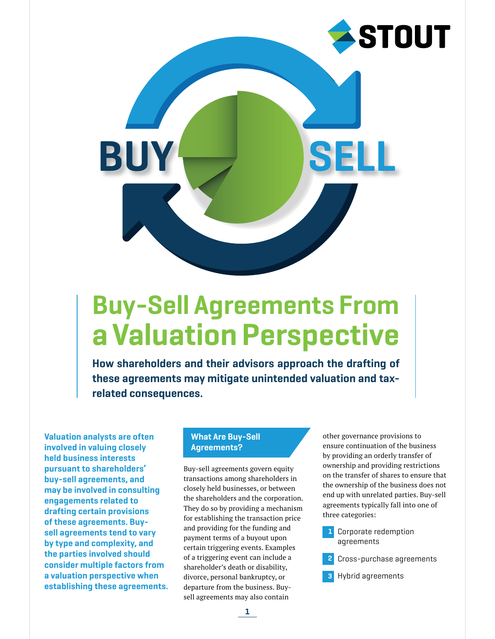

# Buy-Sell Agreements From a Valuation Perspective

How shareholders and their advisors approach the drafting of these agreements may mitigate unintended valuation and taxrelated consequences.

Valuation analysts are often involved in valuing closely held business interests pursuant to shareholders' buy-sell agreements, and may be involved in consulting engagements related to drafting certain provisions of these agreements. Buysell agreements tend to vary by type and complexity, and the parties involved should consider multiple factors from a valuation perspective when establishing these agreements.

## What Are Buy-Sell Agreements?

Buy-sell agreements govern equity transactions among shareholders in closely held businesses, or between the shareholders and the corporation. They do so by providing a mechanism for establishing the transaction price and providing for the funding and payment terms of a buyout upon certain triggering events. Examples of a triggering event can include a shareholder's death or disability, divorce, personal bankruptcy, or departure from the business. Buysell agreements may also contain

other governance provisions to ensure continuation of the business by providing an orderly transfer of ownership and providing restrictions on the transfer of shares to ensure that the ownership of the business does not end up with unrelated parties. Buy-sell agreements typically fall into one of three categories:

Corporate redemption agreements 1

Cross-purchase agreements 2

Hybrid agreements 3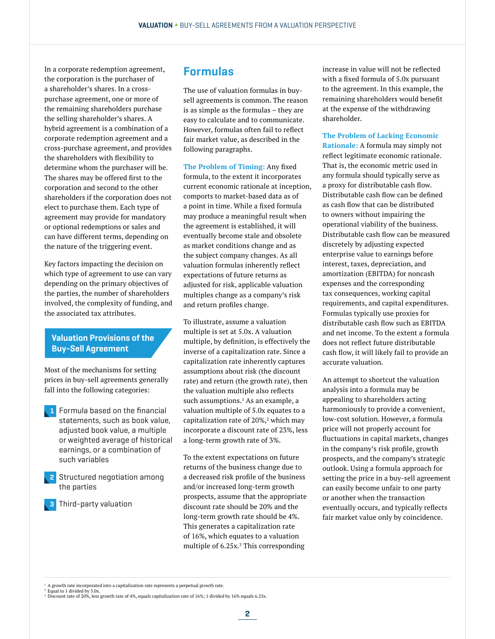In a corporate redemption agreement, the corporation is the purchaser of a shareholder's shares. In a crosspurchase agreement, one or more of the remaining shareholders purchase the selling shareholder's shares. A hybrid agreement is a combination of a corporate redemption agreement and a cross-purchase agreement, and provides the shareholders with flexibility to determine whom the purchaser will be. The shares may be offered first to the corporation and second to the other shareholders if the corporation does not elect to purchase them. Each type of agreement may provide for mandatory or optional redemptions or sales and can have different terms, depending on the nature of the triggering event.

Key factors impacting the decision on which type of agreement to use can vary depending on the primary objectives of the parties, the number of shareholders involved, the complexity of funding, and the associated tax attributes.

## Valuation Provisions of the Buy-Sell Agreement

Most of the mechanisms for setting prices in buy-sell agreements generally fall into the following categories:

- Formula based on the financial statements, such as book value, adjusted book value, a multiple or weighted average of historical earnings, or a combination of such variables 1
- 2 Structured negotiation among the parties
- **3** Third-party valuation

## Formulas

The use of valuation formulas in buysell agreements is common. The reason is as simple as the formulas – they are easy to calculate and to communicate. However, formulas often fail to reflect fair market value, as described in the following paragraphs.

**The Problem of Timing:** Any fixed formula, to the extent it incorporates current economic rationale at inception, comports to market-based data as of a point in time. While a fixed formula may produce a meaningful result when the agreement is established, it will eventually become stale and obsolete as market conditions change and as the subject company changes. As all valuation formulas inherently reflect expectations of future returns as adjusted for risk, applicable valuation multiples change as a company's risk and return profiles change.

To illustrate, assume a valuation multiple is set at 5.0x. A valuation multiple, by definition, is effectively the inverse of a capitalization rate. Since a capitalization rate inherently captures assumptions about risk (the discount rate) and return (the growth rate), then the valuation multiple also reflects such assumptions.<sup>1</sup> As an example, a valuation multiple of 5.0x equates to a capitalization rate of 20%, $^2$  which may incorporate a discount rate of 23%, less a long-term growth rate of 3%.

To the extent expectations on future returns of the business change due to a decreased risk profile of the business and/or increased long-term growth prospects, assume that the appropriate discount rate should be 20% and the long-term growth rate should be 4%. This generates a capitalization rate of 16%, which equates to a valuation multiple of 6.25x.<sup>3</sup> This corresponding

increase in value will not be reflected with a fixed formula of 5.0x pursuant to the agreement. In this example, the remaining shareholders would benefit at the expense of the withdrawing shareholder.

**The Problem of Lacking Economic Rationale:** A formula may simply not reflect legitimate economic rationale. That is, the economic metric used in any formula should typically serve as a proxy for distributable cash flow. Distributable cash flow can be defined as cash flow that can be distributed to owners without impairing the operational viability of the business. Distributable cash flow can be measured discretely by adjusting expected enterprise value to earnings before interest, taxes, depreciation, and amortization (EBITDA) for noncash expenses and the corresponding tax consequences, working capital requirements, and capital expenditures. Formulas typically use proxies for distributable cash flow such as EBITDA and net income. To the extent a formula does not reflect future distributable cash flow, it will likely fail to provide an accurate valuation.

An attempt to shortcut the valuation analysis into a formula may be appealing to shareholders acting harmoniously to provide a convenient, low-cost solution. However, a formula price will not properly account for fluctuations in capital markets, changes in the company's risk profile, growth prospects, and the company's strategic outlook. Using a formula approach for setting the price in a buy-sell agreement can easily become unfair to one party or another when the transaction eventually occurs, and typically reflects fair market value only by coincidence.

<sup>1</sup> A growth rate incorporated into a capitalization rate represents a perpetual growth rate.

<sup>&</sup>lt;sup>2</sup> Equal to 1 divided by 5.0x.

<sup>3</sup> Discount rate of 20%, less growth rate of 4%, equals capitalization rate of 16%; 1 divided by 16% equals 6.25x.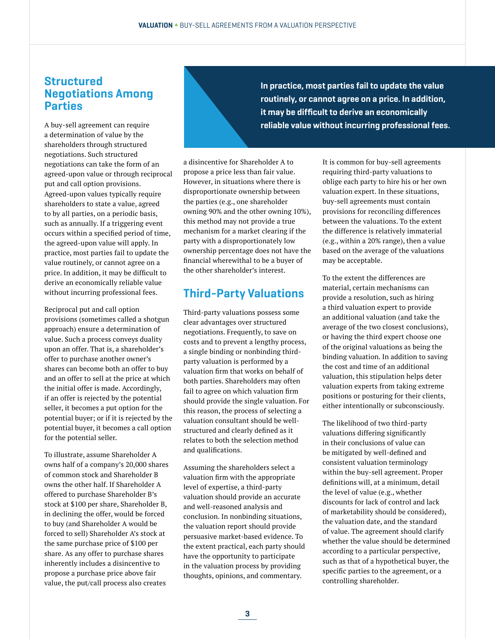## **Structured** Negotiations Among Parties

A buy-sell agreement can require a determination of value by the shareholders through structured negotiations. Such structured negotiations can take the form of an agreed-upon value or through reciprocal put and call option provisions. Agreed-upon values typically require shareholders to state a value, agreed to by all parties, on a periodic basis, such as annually. If a triggering event occurs within a specified period of time, the agreed-upon value will apply. In practice, most parties fail to update the value routinely, or cannot agree on a price. In addition, it may be difficult to derive an economically reliable value without incurring professional fees.

Reciprocal put and call option provisions (sometimes called a shotgun approach) ensure a determination of value. Such a process conveys duality upon an offer. That is, a shareholder's offer to purchase another owner's shares can become both an offer to buy and an offer to sell at the price at which the initial offer is made. Accordingly, if an offer is rejected by the potential seller, it becomes a put option for the potential buyer; or if it is rejected by the potential buyer, it becomes a call option for the potential seller.

To illustrate, assume Shareholder A owns half of a company's 20,000 shares of common stock and Shareholder B owns the other half. If Shareholder A offered to purchase Shareholder B's stock at \$100 per share, Shareholder B, in declining the offer, would be forced to buy (and Shareholder A would be forced to sell) Shareholder A's stock at the same purchase price of \$100 per share. As any offer to purchase shares inherently includes a disincentive to propose a purchase price above fair value, the put/call process also creates

In practice, most parties fail to update the value routinely, or cannot agree on a price. In addition, it may be difficult to derive an economically reliable value without incurring professional fees.

a disincentive for Shareholder A to propose a price less than fair value. However, in situations where there is disproportionate ownership between the parties (e.g., one shareholder owning 90% and the other owning 10%), this method may not provide a true mechanism for a market clearing if the party with a disproportionately low ownership percentage does not have the financial wherewithal to be a buyer of the other shareholder's interest.

# Third-Party Valuations

Third-party valuations possess some clear advantages over structured negotiations. Frequently, to save on costs and to prevent a lengthy process, a single binding or nonbinding thirdparty valuation is performed by a valuation firm that works on behalf of both parties. Shareholders may often fail to agree on which valuation firm should provide the single valuation. For this reason, the process of selecting a valuation consultant should be wellstructured and clearly defined as it relates to both the selection method and qualifications.

Assuming the shareholders select a valuation firm with the appropriate level of expertise, a third-party valuation should provide an accurate and well-reasoned analysis and conclusion. In nonbinding situations, the valuation report should provide persuasive market-based evidence. To the extent practical, each party should have the opportunity to participate in the valuation process by providing thoughts, opinions, and commentary.

It is common for buy-sell agreements requiring third-party valuations to oblige each party to hire his or her own valuation expert. In these situations, buy-sell agreements must contain provisions for reconciling differences between the valuations. To the extent the difference is relatively immaterial (e.g., within a 20% range), then a value based on the average of the valuations may be acceptable.

To the extent the differences are material, certain mechanisms can provide a resolution, such as hiring a third valuation expert to provide an additional valuation (and take the average of the two closest conclusions), or having the third expert choose one of the original valuations as being the binding valuation. In addition to saving the cost and time of an additional valuation, this stipulation helps deter valuation experts from taking extreme positions or posturing for their clients, either intentionally or subconsciously.

The likelihood of two third-party valuations differing significantly in their conclusions of value can be mitigated by well-defined and consistent valuation terminology within the buy-sell agreement. Proper definitions will, at a minimum, detail the level of value (e.g., whether discounts for lack of control and lack of marketability should be considered), the valuation date, and the standard of value. The agreement should clarify whether the value should be determined according to a particular perspective, such as that of a hypothetical buyer, the specific parties to the agreement, or a controlling shareholder.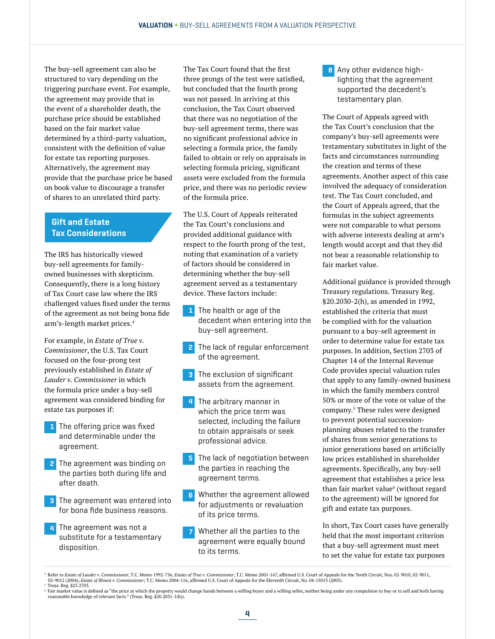The buy-sell agreement can also be structured to vary depending on the triggering purchase event. For example, the agreement may provide that in the event of a shareholder death, the purchase price should be established based on the fair market value determined by a third-party valuation, consistent with the definition of value for estate tax reporting purposes. Alternatively, the agreement may provide that the purchase price be based on book value to discourage a transfer of shares to an unrelated third party.

## Gift and Estate Tax Considerations

The IRS has historically viewed buy-sell agreements for familyowned businesses with skepticism. Consequently, there is a long history of Tax Court case law where the IRS challenged values fixed under the terms of the agreement as not being bona fide arm's-length market prices.<sup>4</sup>

For example, in *Estate of True v. Commissioner*, the U.S. Tax Court focused on the four-prong test previously established in *Estate of Lauder v. Commissioner* in which the formula price under a buy-sell agreement was considered binding for estate tax purposes if:

- **1** The offering price was fixed and determinable under the agreement.
- 2 The agreement was binding on the parties both during life and after death.
- **3** The agreement was entered into for bona fide business reasons.
- 4 The agreement was not a substitute for a testamentary disposition.

The Tax Court found that the first three prongs of the test were satisfied, but concluded that the fourth prong was not passed. In arriving at this conclusion, the Tax Court observed that there was no negotiation of the buy-sell agreement terms, there was no significant professional advice in selecting a formula price, the family failed to obtain or rely on appraisals in selecting formula pricing, significant assets were excluded from the formula price, and there was no periodic review of the formula price.

The U.S. Court of Appeals reiterated the Tax Court's conclusions and provided additional guidance with respect to the fourth prong of the test, noting that examination of a variety of factors should be considered in determining whether the buy-sell agreement served as a testamentary device. These factors include:

- **1** The health or age of the decedent when entering into the buy-sell agreement.
- **2** The lack of regular enforcement of the agreement.
- **3** The exclusion of significant assets from the agreement.
- 4 The arbitrary manner in which the price term was selected, including the failure to obtain appraisals or seek professional advice.
- 5 The lack of negotiation between the parties in reaching the agreement terms.
- Whether the agreement allowed 6 for adjustments or revaluation of its price terms.
- Whether all the parties to the agreement were equally bound to its terms. 7

8 Any other evidence highlighting that the agreement supported the decedent's testamentary plan.

The Court of Appeals agreed with the Tax Court's conclusion that the company's buy-sell agreements were testamentary substitutes in light of the facts and circumstances surrounding the creation and terms of these agreements. Another aspect of this case involved the adequacy of consideration test. The Tax Court concluded, and the Court of Appeals agreed, that the formulas in the subject agreements were not comparable to what persons with adverse interests dealing at arm's length would accept and that they did not bear a reasonable relationship to fair market value.

Additional guidance is provided through Treasury regulations. Treasury Reg. §20.2030-2(h), as amended in 1992, established the criteria that must be complied with for the valuation pursuant to a buy-sell agreement in order to determine value for estate tax purposes. In addition, Section 2703 of Chapter 14 of the Internal Revenue Code provides special valuation rules that apply to any family-owned business in which the family members control 50% or more of the vote or value of the company.<sup>5</sup> These rules were designed to prevent potential successionplanning abuses related to the transfer of shares from senior generations to junior generations based on artificially low prices established in shareholder agreements. Specifically, any buy-sell agreement that establishes a price less than fair market value<sup>6</sup> (without regard to the agreement) will be ignored for gift and estate tax purposes.

In short, Tax Court cases have generally held that the most important criterion that a buy-sell agreement must meet to set the value for estate tax purposes

<sup>4</sup> Refer to *Estate of Lauder v. Commissioner,* T.C. Memo 1992-736; *Estate of True v. Commissioner,* T.C. Memo 2001-167, affirmed U.S. Court of Appeals for the Tenth Circuit, Nos. 02-9010, 02-9011, p. 02-9011, p. 02-9010, Treas. Reg. §25.2703.

<sup>©</sup> Fair market value is defined as "the price at which the property would change hands between a willing buyer and a willing seller, neither being under any compulsion to buy or to sell and both having<br>reasonable knowledge